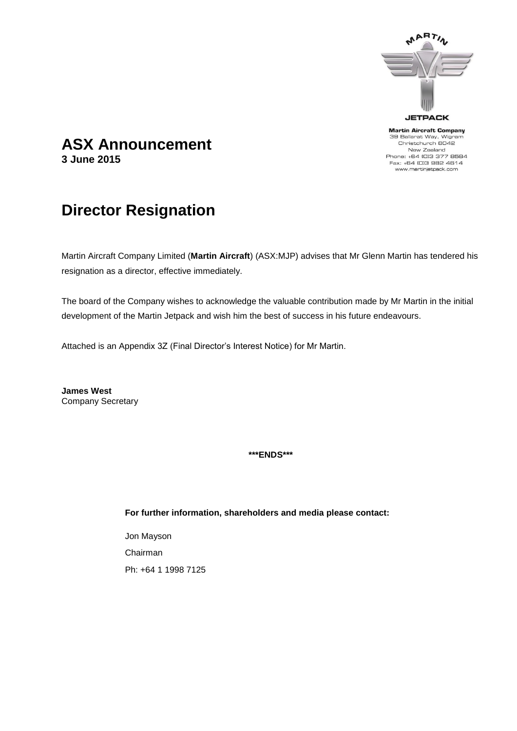

**Martin Aircraft Company** 39 Ballarat Way, Wigram Christchurch 8042 New Zealand Phone: +64 (0)3 377 8584 Fax: +64 (0)3 982 4614 www.martinjetpack.com

## **ASX Announcement 3 June 2015**

# **Director Resignation**

Martin Aircraft Company Limited (**Martin Aircraft**) (ASX:MJP) advises that Mr Glenn Martin has tendered his resignation as a director, effective immediately.

The board of the Company wishes to acknowledge the valuable contribution made by Mr Martin in the initial development of the Martin Jetpack and wish him the best of success in his future endeavours.

Attached is an Appendix 3Z (Final Director's Interest Notice) for Mr Martin.

**James West** Company Secretary

**\*\*\*ENDS\*\*\***

**For further information, shareholders and media please contact:** 

Jon Mayson Chairman Ph: +64 1 1998 7125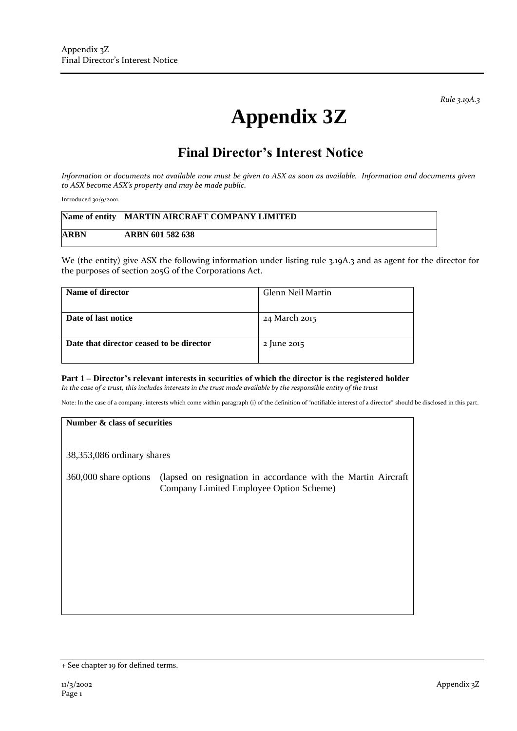*Rule 3.19A.3*

# **Appendix 3Z**

## **Final Director's Interest Notice**

*Information or documents not available now must be given to ASX as soon as available. Information and documents given to ASX become ASX's property and may be made public.*

Introduced 30/9/2001.

|      | Name of entity MARTIN AIRCRAFT COMPANY LIMITED |
|------|------------------------------------------------|
| ARBN | ARBN 601 582 638                               |

We (the entity) give ASX the following information under listing rule 3.19A.3 and as agent for the director for the purposes of section 205G of the Corporations Act.

| Name of director                         | Glenn Neil Martin |
|------------------------------------------|-------------------|
| Date of last notice                      | 24 March 2015     |
| Date that director ceased to be director | 2 June 2015       |

#### **Part 1 – Director's relevant interests in securities of which the director is the registered holder** *In the case of a trust, this includes interests in the trust made available by the responsible entity of the trust*

Note: In the case of a company, interests which come within paragraph (i) of the definition of "notifiable interest of a director" should be disclosed in this part.

#### **Number & class of securities**

38,353,086 ordinary shares

360,000 share options (lapsed on resignation in accordance with the Martin Aircraft Company Limited Employee Option Scheme)

<sup>+</sup> See chapter 19 for defined terms.